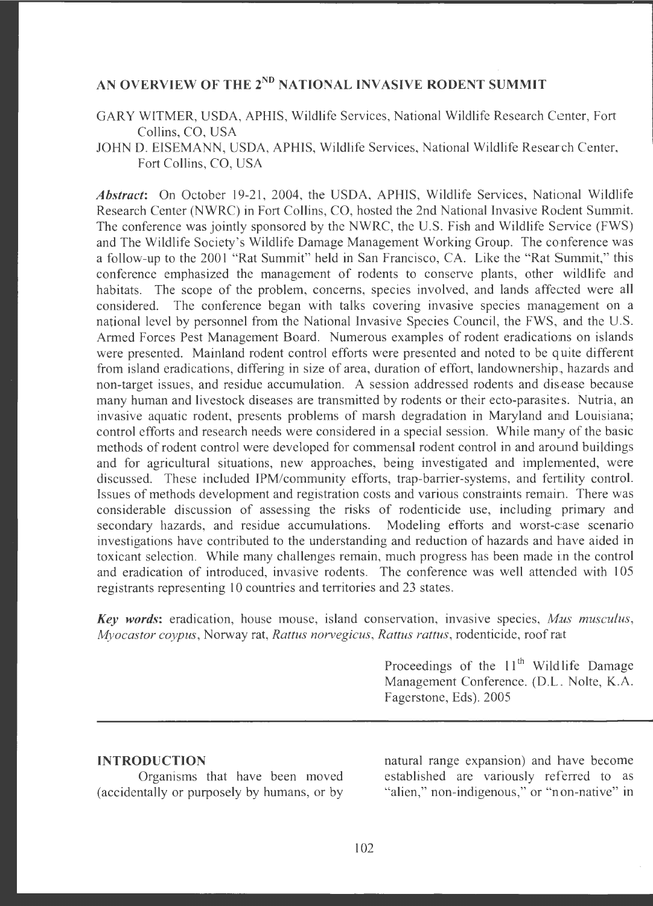# **AN OVERVIEW OF THE 2ND NATIONAL INVASIVE RODENT SUMMIT**

GARY WITMER, USDA, APHIS, Wildlife Services, National Wildlife Research Center, Fort Collins, CO, USA

JOHN D. EISEMANN, USDA, APHIS, Wildlife Services, National Wildlife Research Center, Fort Collins, CO, USA

*Abstract:* On October 19-21, 2004, the USDA, APHIS, Wildlife Services, National Wildlife Research Center (NWRC) in Fort Collins, CO, hosted the 2nd National Invasive Rodent Summit. The conference was jointly sponsored by the NWRC, the U.S. Fish and Wildlife Service (FWS) and The Wildlife Society 's Wildlife Damage Management Working Group. The comference was a follow-up to the 2001 "Rat Summit" held in San Francisco, CA. Like the "Rat Summit," this conference emphasized the management of rodents to conserve plants, other wildlife and habitats. The scope of the problem, concerns, species involved, and lands affected were all considered. The conference began with talks covering invasive species management on a national level by personnel from the National Invasive Species Council, the FWS, and the U.S. Armed Forces Pest Management Board. Numerous examples of rodent eradications on islands were presented. Mainland rodent control efforts were presented and noted to be quite different from island eradications, differing in size of area, duration of effort, landownership, hazards and non-target issues, and residue accumulation. A session addressed rodents and disease because many human and livestock diseases are transmitted by rodents or their ecto-parasites. Nutria, an invasive aquatic rodent, presents problems of marsh degradation in Maryland and Louisiana; control efforts and research needs were considered in a special session. While many of the basic methods of rodent control were developed for commensal rodent control in and around buildings and for agricultural situations, new approaches, being investigated and implemented, were discussed. These included IPM/community efforts, trap-barrier-systems, and fertility control. Issues of methods development and registration costs and various constraints remaim. There was considerable discussion of assessing the risks of rodenticide use, including primary and secondary hazards, and residue accumulations. Modeling efforts and worst-case scenario investigations have contributed to the understanding and reduction of hazards and have aided in toxicant selection. While many challenges remain, much progress has been made in the control and eradication of introduced, invasive rodents. The conference was well attended with 105 registrants representing 10 countries and territories and 23 states .

*Key words:* eradication, house mouse, island conservation, invasive species, *Mus musculus*, *Myocastor coypus,* Norway rat, *Rattus norvegicus, Rattus rattus,* rodenticide , roof rait

> Proceedings of the  $11<sup>th</sup>$  Wild life Damage Management Conference. (D.L. Nolte, K.A. Fagerstone, Eds). 2005

#### **INTRODUCTION**

Organisms that have been moved (accidentally or purposely by humans, or by

natural range expansion) and have become established are variously referred to as "alien," non-indigenous," or "non-native" in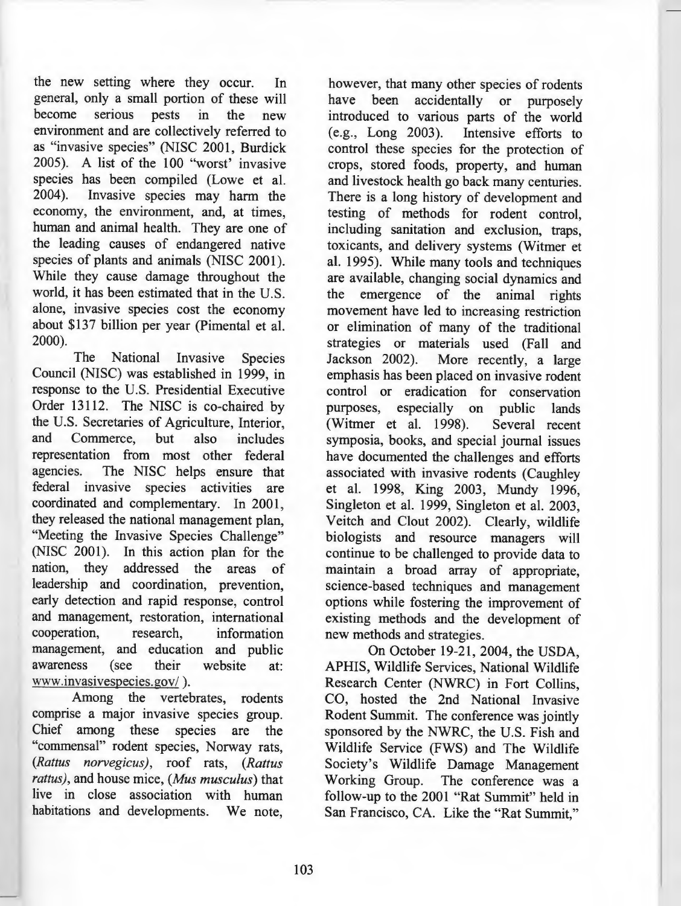the new setting where they occur. In general, only a small portion of these will become serious pests in the new environment and are collectively referred to as "invasive species" (NISC 2001, Burdick 2005). A list of the 100 "worst' invasive species has been compiled (Lowe et al. 2004). Invasive species may harm the economy, the environment, and, at times, human and animal health. They are one of the leading causes of endangered native species of plants and animals (NISC 2001). While they cause damage throughout the world, it has been estimated that in the U.S. alone, invasive species cost the economy about \$137 billion per year (Pimental et al. 2000).

The National Invasive Species Council (NISC) was established in 1999, in response to the U.S. Presidential Executive Order 13112. The NISC is co-chaired by the U.S. Secretaries of Agriculture, Interior, and Commerce, but also includes representation from most other federal agencies. The NISC helps ensure that federal invasive species activities are coordinated and complementary. In 2001, they released the national management plan, "Meeting the Invasive Species Challenge" (NISC 2001). In this action plan for the nation, they addressed the areas of leadership and coordination, prevention, early detection and rapid response, control and management, restoration, international<br>cooperation, research, information research, information management, and education and public<br>awareness (see their website at: awareness (see their website at: www.invasivespecies.gov/ ).

Among the vertebrates, rodents comprise a major invasive species group. Chief among these species are the "commensal" rodent species, Norway rats, *(Rattus norvegicus),* roof rats, *(Rattus rattus),* and house mice, *(Mus musculus)* that live in close association with human habitations and developments. We note,

however, that many other species of rodents have been accidentally or purposely introduced to various parts of the world<br>(e.g., Long 2003). Intensive efforts to Intensive efforts to control these species for the protection of crops, stored foods, property, and human and livestock health go back many centuries. There is a long history of development and testing of methods for rodent control, including sanitation and exclusion, traps, toxicants, and delivery systems (Witmer et al. 1995). While many tools and techniques are available, changing social dynamics and the emergence of the animal rights movement have led to increasing restriction or elimination of many of the traditional strategies or materials used (Fall and Jackson 2002). More recently, a large emphasis has been placed on invasive rodent control or eradication for conservation purposes, especially on public lands (Witmer et al. 1998). Several recent symposia, books, and special journal issues have documented the challenges and efforts associated with invasive rodents (Caughley et al. 1998, King 2003, Mundy 1996, Singleton et al. 1999, Singleton et al. 2003, Veitch and Clout 2002). Clearly, wildlife biologists and resource managers will continue to be challenged to provide data to maintain a broad array of appropriate, science-based techniques and management options while fostering the improvement of existing methods and the development of new methods and strategies.

On October 19-21, 2004, the USDA, APHIS, Wildlife Services, National Wildlife Research Center (NWRC) in Fort Collins, CO, hosted the 2nd National Invasive Rodent Summit. The conference was jointly sponsored by the NWRC, the U.S. Fish and Wildlife Service (FWS) and The Wildlife Society's Wildlife Damage Management Working Group. The conference was a follow-up to the 2001 "Rat Summit" held in San Francisco, CA. Like the "Rat Summit,"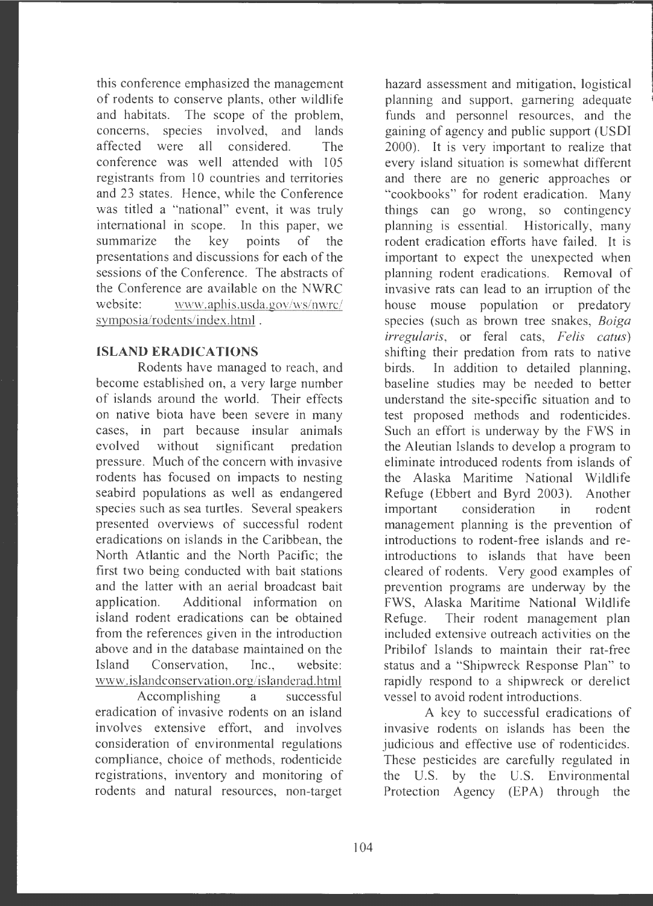this conference emphasized the management of rodents to conserve plants, other wildlife and habitats. The scope of the problem, concerns, species involved, and lands affected were all considered. The conference was well attended with 105 registrants from 10 countries and territories and 23 states. Hence, while the Conference was titled a "national" event, it was truly international in scope. In this paper, we summarize the key points of the presentations and discussions for each of the sessions of the Conference. The abstracts of the Conference are available on the NWRC website: www.aphis.usda.gov/ws/nwrc/ symposia/rodents /index.html .

## **ISLAND ERADICATIONS**

Rodents have managed to reach, and become established on, a very large number of islands around the world. Their effects on native biota have been severe in many cases, in part because insular animals evolved without significant predation pressure. Much of the concern with invasive rodents has focused on impacts to nesting seabird populations as well as endangered species such as sea turtles. Several speakers presented overviews of successful rodent eradications on islands in the Caribbean , the North Atlantic and the North Pacific; the first two being conducted with bait stations and the latter with an aerial broadcast bait application . Additional information on island rodent eradications can be obtained from the references given in the introduction above and in the database maintained on the Island Conservation, Inc., website: www.islandconservation.org/islanderad.html

Accomplishing a successful eradication of invasive rodents on an island involves extensive effort, and involves consideration of environmental regulations compliance, choice of methods, rodenticide registrations, inventory and monitoring of rodents and natural resources, non-target

hazard assessment and mitigation, logistical planning and support, garnering adequate funds and personnel resources, and the gaining of agency and public support (USDI 2000). It is very important to realize that every island situation is somewhat different and there are no generic approaches or "cookbooks" for rodent eradication. Many things can go wrong, so contingency planning is essential. Historically, many rodent eradication efforts have failed. It is important to expect the unexpected when planning rodent eradications. Removal of invasive rats can lead to an irruption of the house mouse population or predatory species (such as brown tree snakes, *Boiga irregularis,* or feral cats, *Felis catus)*  shifting their predation from rats to native birds. In addition to detailed planning, baseline studies may be needed to better understand the site-specific situation and to test proposed methods and rodenticides. Such an effort is underway by the FWS in the Aleutian Islands to develop a program to eliminate introduced rodents from islands of the Alaska Maritime National Wildlife Refuge (Ebbert and Byrd 2003). Another important consideration in rodent management planning is the prevention of introductions to rodent-free islands and reintroductions to islands that have been cleared of rodents. Very good examples of prevention programs are underway by the FWS, Alaska Maritime National Wildlife Refuge. Their rodent management plan included extensive outreach activities on the Pribilof Islands to maintain their rat-free status and a "Shipwreck Response Plan" to rapidly respond to a shipwreck or derelict vessel to avoid rodent introductions.

A key to successful eradications of invasive rodents on islands has been the judicious and effective use of rodenticides. These pesticides are carefully regulated in the U.S. by the U.S. Environmental Protection Agency (EPA) through the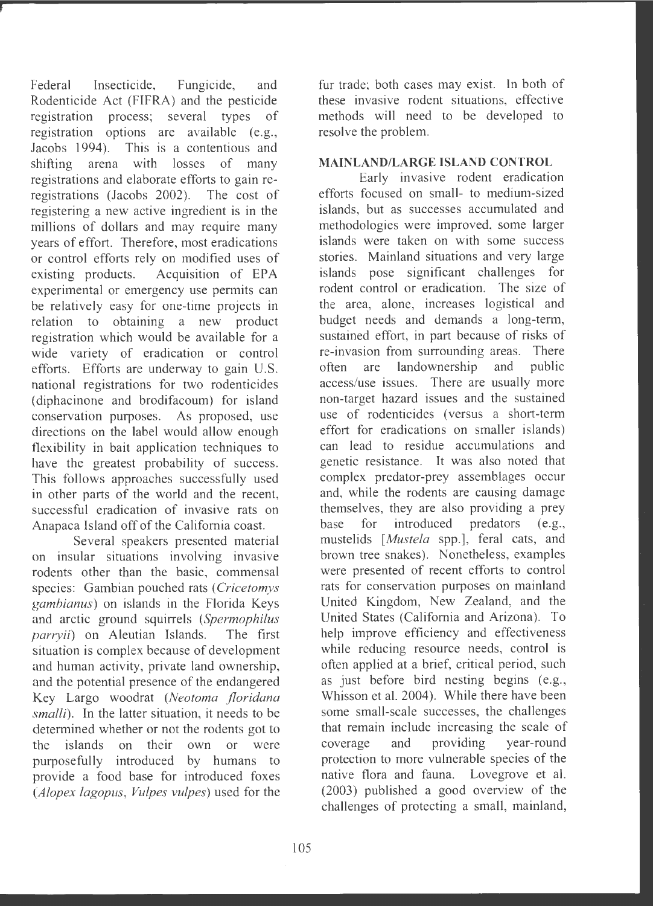Federal Insecticide, Fungicide, and Rodenticide Act (FIFRA) and the pesticide registration process; several types of registration options are available (e.g., Jacobs 1994). This is a contentious and shifting arena with losses of many registrations and elaborate efforts to gain reregistrations (Jacobs 2002). The cost of registering a new active ingredient is in the millions of dollars and may require many years of effort. Therefore, most eradications or control efforts rely on modified uses of existing products. Acquisition of EPA experimental or emergency use permits can be relatively easy for one-time projects in relation to obtaining a new product registration which would be available for a wide variety of eradication or control efforts. Efforts are underway to gain U.S. national registrations for two rodenticides (diphacinone and brodifacoum) for island conservation purposes. As proposed, use directions on the label would allow enough flexibility in bait application techniques to have the greatest probability of success. This follows approaches successfully used in other parts of the world and the recent, successful eradication of invasive rats on Anapaca Island off of the California coast.

Several speakers presented material on insular situations involving invasive rodents other than the basic, commensal species: Gambian pouched rats *(Cricetomys gambianus)* on islands in the Florida Keys and arctic ground squirrels *(Spermophilus parryii*) on Aleutian Islands. The first situation is complex because of development and human activity, private land ownership, and the potential presence of the endangered Key Largo woodrat *(Neotoma floridana smalli*). In the latter situation, it needs to be determined whether or not the rodents got to the islands on their own or were purposefully introduced by humans to provide a food base for introduced foxes *(Alopex lagopus , Vulpes vulpes)* used for the

fur trade; both cases may exist. In both of these invasive rodent situations, effective methods will need to be developed to resolve the problem.

## **MAINLAND/LARGE ISLAND CONTROL**

Early invasive rodent eradication efforts focused on small- to medium-sized islands, but as successes accumulated and methodologies were improved, some larger islands were taken on with some success stories. Mainland situations and very large islands pose significant challenges for rodent control or eradication. The size of the area, alone, increases logistical and budget needs and demands a long-term, sustained effort, in part because of risks of re-invasion from surrounding areas. There often are landownership and public access/use issues. There are usually more non-target hazard issues and the sustained use of rodenticides (versus a short-term effort for eradications on smaller islands) can lead to residue accumulations and genetic resistance. It was also noted that complex predator-prey assemblages occur and, while the rodents are causing damage themselves, they are also providing a prey base for introduced predators (e.g., mustelids *[Mustela* spp.], feral cats, and brown tree snakes). Nonetheless, examples were presented of recent efforts to control rats for conservation purposes on mainland United Kingdom, New Zealand, and the United States (California and Arizona). To help improve efficiency and effectiveness while reducing resource needs, control is often applied at a brief, critical period, such as just before bird nesting begins (e.g., Whisson et al. 2004). While there have been some small-scale successes, the challenges that remain include increasing the scale of coverage and providing year-round protection to more vulnerable species of the native flora and fauna. Lovegrove et al. (2003) published a good overview of the challenges of protecting a small, mainland,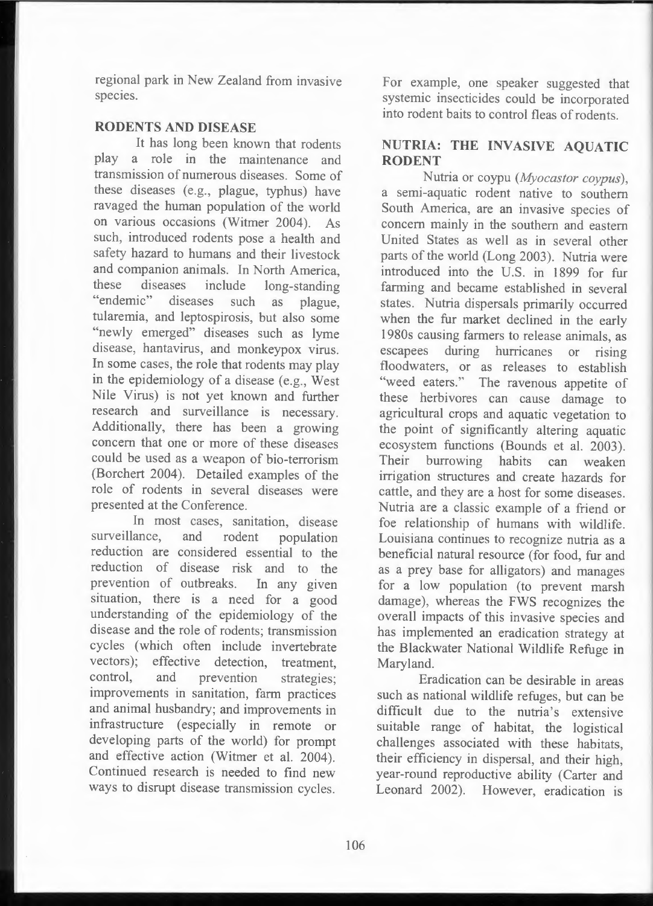regional park in New Zealand from invasive species.

## **RODENTS AND DISEASE**

It has long been known that rodents play a role in the maintenance and transmission of numerous diseases. Some of these diseases (e.g., plague, typhus) have ravaged the human population of the world on various occasions (Witmer 2004). As such, introduced rodents pose a health and safety hazard to humans and their livestock and companion animals. In North America, these diseases include long-standing "endemic" diseases such as plague, tularemia, and leptospirosis, but also some "newly emerged" diseases such as lyme disease, hantavirus, and monkeypox virus. In some cases, the role that rodents may play in the epidemiology of a disease (e.g., West Nile Virus) is not yet known and further research and surveillance is necessary. Additionally, there has been a growing concern that one or more of these diseases could be used as a weapon of bio-terrorism (Borchert 2004). Detailed examples of the role of rodents in several diseases were presented at the Conference.

In most cases, sanitation, disease surveillance, and rodent population reduction are considered essential to the reduction of disease risk and to the prevention of outbreaks. In any given situation, there is a need for a good understanding of the epidemiology of the disease and the role of rodents; transmission cycles (which often include invertebrate vectors); effective detection, treatment, control, and prevention strategies: improvements in sanitation, farm practices and animal husbandry; and improvements in infrastructure (especially in remote or developing parts of the world) for prompt and effective action (Witmer et al. 2004). Continued research is needed to find new ways to disrupt disease transmission cycles.

For example, one speaker suggested that systemic insecticides could be incorporated into rodent baits to control fleas of rodents.

## **NUTRIA: THE INVASIVE AQUATIC RODENT**

Nutria or coypu *(Myocastor coypus)*, a semi-aquatic rodent native to southern South America, are an invasive species of concern mainly in the southern and eastern United States as well as in several other parts of the world (Long 2003). Nutria were introduced into the U.S. in 1899 for fur farming and became established in several states. Nutria dispersals primarily occurred when the fur market declined in the early 1980s causing farmers to release animals, as escapees during hurricanes or rising floodwaters, or as releases to establish "weed eaters." The ravenous appetite of these herbivores can cause damage to agricultural crops and aquatic vegetation to the point of significantly altering aquatic ecosystem functions (Bounds et al. 2003). Their burrowing habits can weaken irrigation structures and create hazards for cattle, and they are a host for some diseases. Nutria are a classic example of a friend or foe relationship of humans with wildlife. Louisiana continues to recognize nutria as a beneficial natural resource (for food, fur and as a prey base for alligators) and manages for a low population (to prevent marsh damage), whereas the FWS recognizes the overall impacts of this invasive species and has implemented an eradication strategy at the Blackwater National Wildlife Refuge in Maryland.

Eradication can be desirable in areas such as national wildlife refuges, but can be difficult due to the nutria's extensive suitable range of habitat, the logistical challenges associated with these habitats, their efficiency in dispersal, and their high, year-round reproductive ability (Carter and Leonard 2002). However, eradication is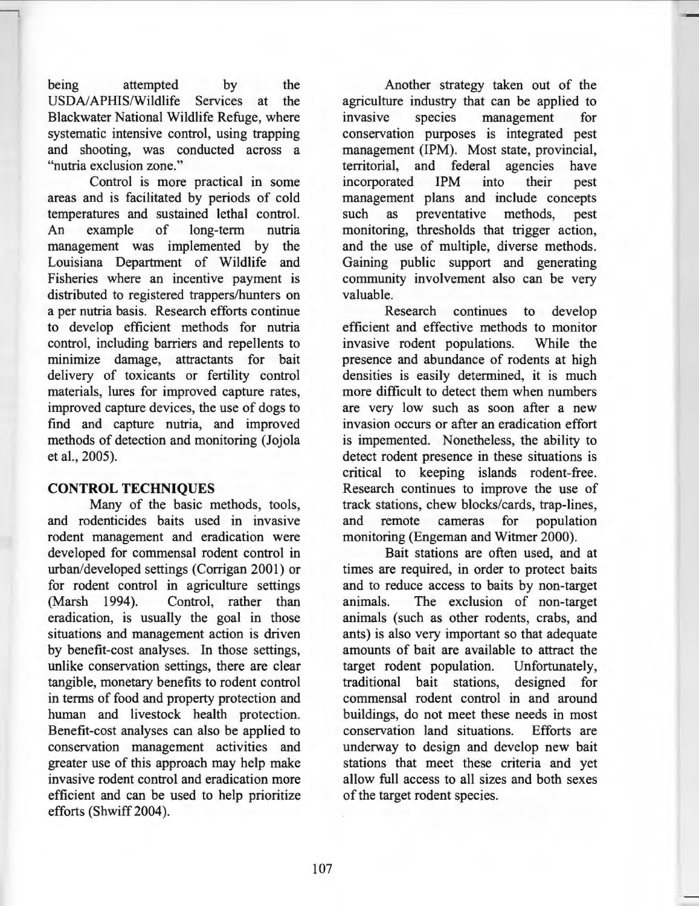being attempted by the USDA/ APHIS/Wildlife Services at the Blackwater National Wildlife Refuge, where systematic intensive control, using trapping and shooting, was conducted across a "nutria exclusion zone."

---,

Control is more practical in some areas and is facilitated by periods of cold temperatures and sustained lethal control. An example of long-term nutria management was implemented by the Louisiana Department of Wildlife and Fisheries where an incentive payment is distributed to registered trappers/hunters on a per nutria basis. Research efforts continue to develop efficient methods for nutria control, including barriers and repellents to minimize damage, attractants for bait delivery of toxicants or fertility control materials, lures for improved capture rates, improved capture devices, the use of dogs to find and capture nutria, and improved methods of detection and monitoring (Jojola et al., 2005).

## **CONTROL TECHNIQUES**

Many of the basic methods, tools, and rodenticides baits used in invasive rodent management and eradication were developed for commensal rodent control in urban/developed settings (Corrigan 2001) or for rodent control in agriculture settings (Marsh 1994). Control, rather than eradication, is usually the goal in those situations and management action is driven by benefit-cost analyses. In those settings, unlike conservation settings, there are clear tangible, monetary benefits to rodent control in terms of food and property protection and human and livestock health protection. Benefit-cost analyses can also be applied to conservation management activities and greater use of this approach may help make invasive rodent control and eradication more efficient and can be used to help prioritize efforts (Shwiff 2004).

Another strategy taken out of the agriculture industry that can be applied to invasive species management for conservation purposes is integrated pest management (1PM). Most state, provincial, territorial, and federal agencies have incorporated 1PM into their pest management plans and include concepts such as preventative methods, pest monitoring, thresholds that trigger action, and the use of multiple, diverse methods. Gaining public support and generating community involvement also can be very valuable.

Research continues to develop efficient and effective methods to monitor invasive rodent populations. While the presence and abundance of rodents at high densities is easily determined, it is much more difficult to detect them when numbers are very low such as soon after a new invasion occurs or after an eradication effort is impemented. Nonetheless, the ability to detect rodent presence in these situations is critical to keeping islands rodent-free. Research continues to improve the use of track stations, chew blocks/cards, trap-lines, and remote cameras for population monitoring (Engeman and Witmer 2000).

Bait stations are often used, and at times are required, in order to protect baits and to reduce access to baits by non-target animals. The exclusion of non-target animals ( such as other rodents, crabs, and ants) is also very important so that adequate amounts of bait are available to attract the target rodent population. Unfortunately, traditional bait stations, designed for commensal rodent control in and around buildings, do not meet these needs in most conservation land situations. Efforts are underway to design and develop new bait stations that meet these criteria and yet allow full access to all sizes and both sexes of the target rodent species.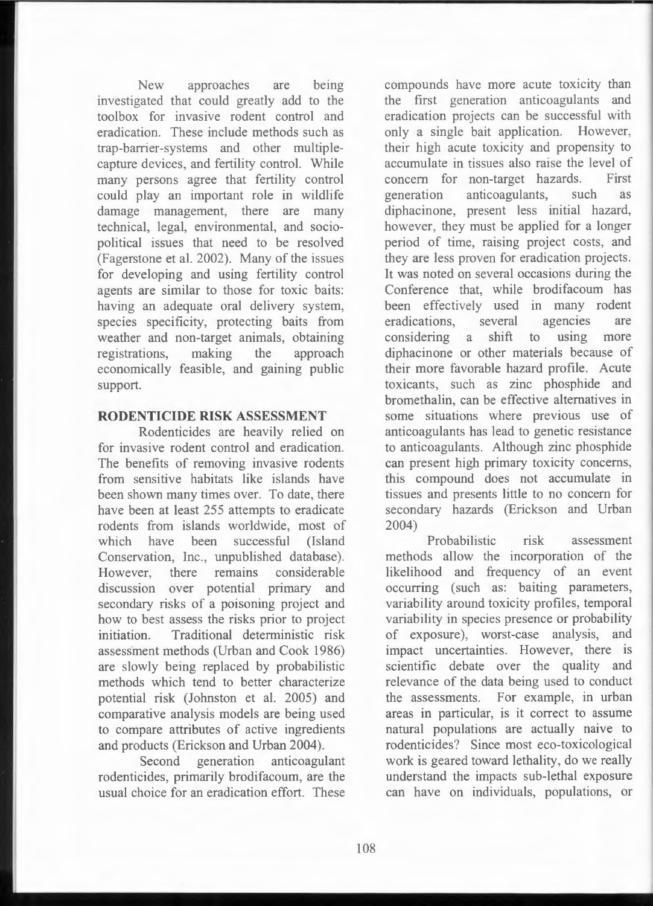New approaches are being investigated that could greatly add to the toolbox for invasive rodent control and eradication. These include methods such as trap-barrier-systems and other multiplecapture devices, and fertility control. While many persons agree that fertility control could play an important role in wildlife damage management, there are many technical, legal, environmental, and sociopolitical issues that need to be resolved (Fagerstone et al. 2002). Many of the issues for developing and using fertility control agents are similar to those for toxic baits: having an adequate oral delivery system, species specificity, protecting baits from weather and non-target animals, obtaining registrations, making the approach economically feasible, and gaining public support.

#### **RODENTICIDE RISK ASSESSMENT**

Rodenticides are heavily relied on for invasive rodent control and eradication. The benefits of removing invasive rodents from sensitive habitats like islands have been shown many times over. To date, there have been at least 255 attempts to eradicate rodents from islands worldwide, most of which have been successful (Island Conservation, Inc., unpublished database). However, there remains considerable discussion over potential primary and secondary risks of a poisoning project and how to best assess the risks prior to project initiation. Traditional deterministic risk assessment methods (Urban and Cook 1986) are slowly being replaced by probabilistic methods which tend to better characterize potential risk (Johnston et al. 2005) and comparative analysis models are being used to compare attributes of active ingredients and products (Erickson and Urban 2004) .

Second generation anticoagulant rodenticides, primarily brodifacoum, are the usual choice for an eradication effort. These

compounds have more acute toxicity than the first generation anticoagulants and eradication projects can be successful with only a single bait application. However, their high acute toxicity and propensity to accumulate in tissues also raise the level of concern for non-target hazards. First generation anticoagulants, such as diphacinone, present less initial hazard, however, they must be applied for a longer period of time, raising project costs, and they are less proven for eradication projects . It was noted on several occasions during the Conference that, while brodifacoum has been effectively used in many rodent eradications , several agencies are considering a shift to using more diphacinone or other materials because of their more favorable hazard profile. Acute toxicants, such as zinc phosphide and bromethalin, can be effective alternatives in some situations where previous use of anticoagulants has lead to genetic resistance to anticoagulants. Although zinc phosphide can present high primary toxicity concerns, this compound does not accumulate in tissues and presents little to no concern for secondary hazards (Erickson and Urban 2004)

Probabilistic risk assessment methods allow the incorporation of the likelihood and frequency of an event occurring (such as: baiting parameters, variability around toxicity profiles, temporal variability in species presence or probability of exposure), worst-case analysis, and impact uncertainties. However, there is scientific debate over the quality and relevance of the data being used to conduct the assessments. For example, in urban areas in particular, is it correct to assume natural populations are actually naive to rodenticides? Since most eco-toxicological work is geared toward lethality, do we really understand the impacts sub-lethal exposure can have on individuals, populations, or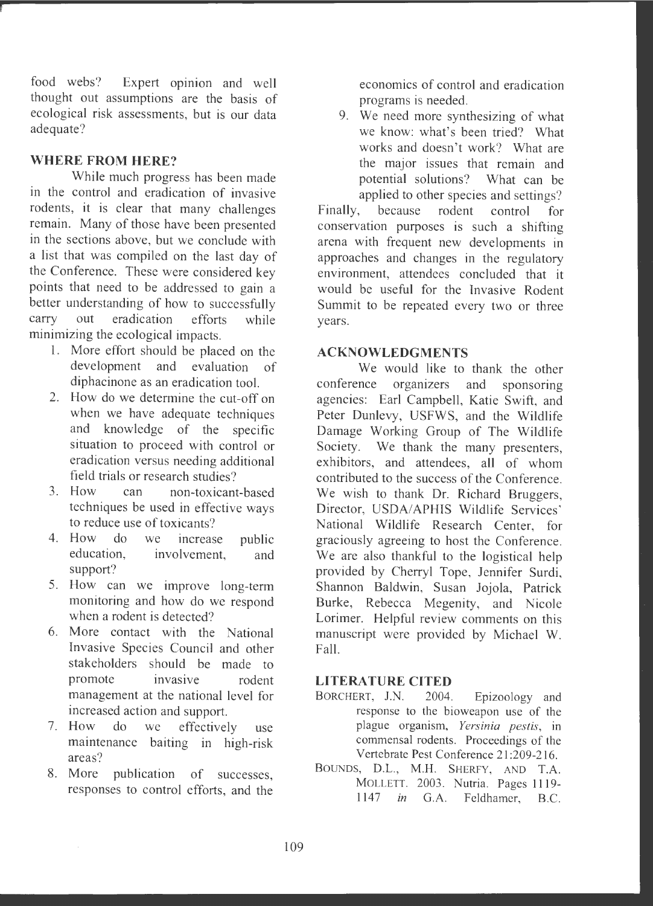food webs? Expert opinion and well thought out assumptions are the basis of ecological risk assessments, but is our data adequate?

# **WHERE FROM HERE?**

While much progress has been made in the control and eradication of invasive rodents, it is clear that many challenges remain. Many of those have been presented in the sections above, but we conclude with a list that was compiled on the last day of the Conference. These were considered key points that need to be addressed to gain a better understanding of how to successfully carry out eradication efforts while minimizing the ecological impacts.

- 1. More effort should be placed on the development and evaluation of diphacinone as an eradication tool.
- 2. How do we determine the cut-off on when we have adequate techniques and knowledge of the specific situation to proceed with control or eradication versus needing additional field trials or research studies ?
- 3. How can non-toxicant-based techniques be used in effective ways to reduce use of toxicants?
- 4. How do we increase public education, involvement, and support?
- 5. How can we improve long-term monitoring and how do we respond when a rodent is detected?
- 6. More contact with the National Invasive Species Council and other stakeholders should be made to promote invasive rodent management at the national level for increased action and support.
- 7. How do we effectively use maintenance baiting in high-risk areas?
- 8. More publication of successes, responses to control efforts, and the

economics of control and eradication programs is needed.

9. We need more synthesizing of what we know: what's been tried? What works and doesn't work? What are the major issues that remain and potential solutions? What can be applied to other species and settings?

Finally, because rodent control for conservation purposes is such a shifting arena with frequent new developments in approaches and changes in the regulatory environment, attendees concluded that it would be useful for the Invasive Rodent Summit to be repeated every two or three years.

#### **ACKNOWLEDGMENTS**

We would like to thank the other conference organizers and sponsoring agencies: Earl Campbell, Katie Swift, and Peter Dunlevy, USFWS, and the Wildlife Damage Working Group of The Wildlife Society. We thank the many presenters, exhibitors, and attendees, all of whom contributed to the success of the Conference . We wish to thank Dr. Richard Bruggers, Director, USDA/APHIS Wildlife Services' National Wildlife Research Center, for graciously agreeing to host the Conference . We are also thankful to the logistical help provided by Cherryl Tope, Jennifer Surdi, Shannon Baldwin, Susan Jojola, Patrick Burke, Rebecca Megenity, and Nicole Lorimer. Helpful review comments on this manuscript were provided by Michael W. Fall.

#### **LITERATURE CITED**

- BORCHERT, J.N. 2004. Epizoology and response to the bioweapon use of the <sup>p</sup>lague organism, *Yersinia pestis ,* in commensal rodents. Proceedings of the Vertebrate Pest Conference 21 :209-216 .
- BOUNDS, D.L., M.H. SHERFY, AND T.A. MOLLETT. 2003. Nutria. Pages 1119-1147 *in* G.A. Feldhamer, B.C.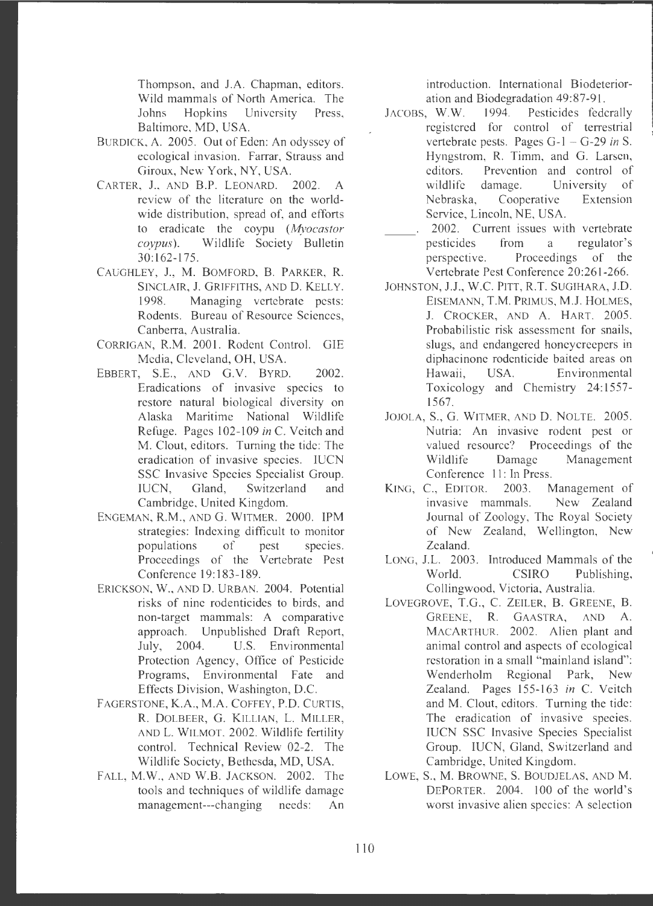Thompson, and J.A. Chapman, editors. Wild mammals of North America. The Johns Hopkins University Press, Baltimore, MD, USA.

- BURDICK, A. 2005. Out of Eden: An odyssey of ecological invasion. Farrar, Strauss and Giroux, New York, NY, USA.
- CARTER, J., AND B.P. LEONARD. 2002. A review of the literature on the worldwide distribution, spread of, and efforts to eradicate the coypu *(Myocastor coypus).* Wildlife Society Bulletin 30:162-175.
- CAUGHLEY, J., M. BOMFORD, B. PARKER, **R.**  SINCLAIR, J. GRIFFITHS, AND D. KELLY. 1998. Managing vertebrate pests: Rodents. Bureau of Resource Sciences, Canberra, Australia.
- CORRIGAN, R.M. 2001. Rodent Control. GIE Media, Cleveland, OH, USA.
- EBBERT, S.E., AND G.V. BYRD. 2002. Eradications of invasive species to restore natural biological diversity on Alaska Maritime National Wildlife Refuge . Pages 102-109 *in* C. Veitch and M. Clout, editors. Turning the tide: The eradication of invasive species. IUCN SSC Invasive Species Specialist Group. IUCN, Gland, Switzerland and Cambridge, United Kingdom.
- ENGEMAN, **R.M.,** AND G. WITMER. 2000. **1PM**  strategies: Indexing difficult to monitor populations of pest species. Proceedings of the Vertebrate Pest Conference 19:183-189 .
- ERICKSON, W., AND D. URBAN. 2004. Potential risks of nine rodenticides to birds, and non-target mammals: A comparative approach. Unpublished Draft Report, July, 2004. U.S. Environmental Protection Agency, Office of Pesticide Programs, Environmental Fate and Effects Division, Washington, D.C.
- F AGERSTONE, **K.A ., M.A.** COFFEY, **P.O.** CURTIS, **R.** DOLBEER, G. KILLIAN, L. MILLER, AND L. WILMOT. 2002 . Wildlife fertility control. Technical Review 02-2. The Wildlife Society, Bethesda, MD, USA.
- FALL, M.W., AND W.B. JACKSON. 2002. The tools and techniques of wildlife damage management-- -changing needs: An

introduction. International Biodeterioration and Biodegradation 49:87-91.

- JACOBS, **W.W .** 1994. Pesticides federally registered for control of terrestrial vertebrate pests. Pages G-1 - G-29 *in* S. Hyngstrom, R. Timm, and G. Larsen, editors. Prevention and control of wildlife damage. University of Nebraska, Cooperative Extension Service, Lincoln, NE, USA.
- 2002. Current issues with vertebrate pesticides from a regulator's perspective. Proceedings of the Vertebrate Pest Conference 20:261-266.
- JOHNSTON, J.J., W.C. PITT, R.T. SUGIHARA, J.D. EISEMANN, T.M. PRIMUS, M.J. HOLMES, J. CROCKER, AND A. HART. 2005. Probabilistic risk assessment for snails, slugs, and endangered honeycreepers in diphacinone rodenticide baited areas on Hawaii. USA. Environmental Toxicology and Chemistry 24:1557- 1567.
- JOJOLA, **S., G.** WITMER, AND **D.** NOLTE. 2005. Nutria: An invasive rodent pest or valued resource? Proceedings of the Wildlife Damage Management Conference 11: In Press.
- KING, C., EDITOR. 2003. Management of invasive mammals. New Zealand Journal of Zoology, The Royal Society of New Zealand, Wellington, New Zealand.
- LONG, J.L. 2003. Introduced Mammals of the World. CSIRO Publishing, Collingwood, Victoria, Australia.
- LOYEGROYE, T.G., C. ZEILER, **B.** GREENE, **B.**  GREENE, **R.** GAASTRA, AND **A.**  MACARTHUR. 2002. Alien plant and animal control and aspects of ecological restoration in a small "mainland island": Wenderholm Regional Park, New Zealand. Pages 155-163 *in* C. Veitch and M. Clout, editors. Turning the tide: The eradication of invasive species. IUCN SSC Invasive Species Specialist Group. IUCN, Gland, Switzerland and Cambridge, United Kingdom.
- LOWE, **S., M.** BROWNE, S. BOUDJELAS, AND **M.**  DEPORTER. 2004. 100 of the world's worst invasive alien species: A selection